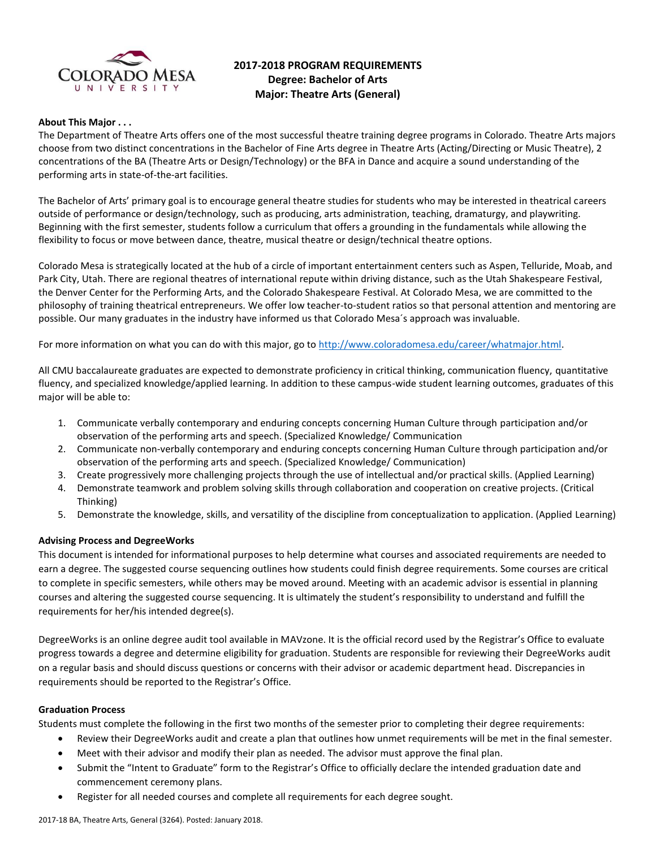

# **2017-2018 PROGRAM REQUIREMENTS Degree: Bachelor of Arts Major: Theatre Arts (General)**

# **About This Major . . .**

The Department of Theatre Arts offers one of the most successful theatre training degree programs in Colorado. Theatre Arts majors choose from two distinct concentrations in the Bachelor of Fine Arts degree in Theatre Arts (Acting/Directing or Music Theatre), 2 concentrations of the BA (Theatre Arts or Design/Technology) or the BFA in Dance and acquire a sound understanding of the performing arts in state-of-the-art facilities.

The Bachelor of Arts' primary goal is to encourage general theatre studies for students who may be interested in theatrical careers outside of performance or design/technology, such as producing, arts administration, teaching, dramaturgy, and playwriting. Beginning with the first semester, students follow a curriculum that offers a grounding in the fundamentals while allowing the flexibility to focus or move between dance, theatre, musical theatre or design/technical theatre options.

Colorado Mesa is strategically located at the hub of a circle of important entertainment centers such as Aspen, Telluride, Moab, and Park City, Utah. There are regional theatres of international repute within driving distance, such as the Utah Shakespeare Festival, the Denver Center for the Performing Arts, and the Colorado Shakespeare Festival. At Colorado Mesa, we are committed to the philosophy of training theatrical entrepreneurs. We offer low teacher-to-student ratios so that personal attention and mentoring are possible. Our many graduates in the industry have informed us that Colorado Mesa´s approach was invaluable.

For more information on what you can do with this major, go t[o http://www.coloradomesa.edu/career/whatmajor.html.](http://www.coloradomesa.edu/career/whatmajor.html)

All CMU baccalaureate graduates are expected to demonstrate proficiency in critical thinking, communication fluency, quantitative fluency, and specialized knowledge/applied learning. In addition to these campus-wide student learning outcomes, graduates of this major will be able to:

- 1. Communicate verbally contemporary and enduring concepts concerning Human Culture through participation and/or observation of the performing arts and speech. (Specialized Knowledge/ Communication
- 2. Communicate non-verbally contemporary and enduring concepts concerning Human Culture through participation and/or observation of the performing arts and speech. (Specialized Knowledge/ Communication)
- 3. Create progressively more challenging projects through the use of intellectual and/or practical skills. (Applied Learning)
- 4. Demonstrate teamwork and problem solving skills through collaboration and cooperation on creative projects. (Critical Thinking)
- 5. Demonstrate the knowledge, skills, and versatility of the discipline from conceptualization to application. (Applied Learning)

# **Advising Process and DegreeWorks**

This document is intended for informational purposes to help determine what courses and associated requirements are needed to earn a degree. The suggested course sequencing outlines how students could finish degree requirements. Some courses are critical to complete in specific semesters, while others may be moved around. Meeting with an academic advisor is essential in planning courses and altering the suggested course sequencing. It is ultimately the student's responsibility to understand and fulfill the requirements for her/his intended degree(s).

DegreeWorks is an online degree audit tool available in MAVzone. It is the official record used by the Registrar's Office to evaluate progress towards a degree and determine eligibility for graduation. Students are responsible for reviewing their DegreeWorks audit on a regular basis and should discuss questions or concerns with their advisor or academic department head. Discrepancies in requirements should be reported to the Registrar's Office.

### **Graduation Process**

Students must complete the following in the first two months of the semester prior to completing their degree requirements:

- Review their DegreeWorks audit and create a plan that outlines how unmet requirements will be met in the final semester.
- Meet with their advisor and modify their plan as needed. The advisor must approve the final plan.
- Submit the "Intent to Graduate" form to the Registrar's Office to officially declare the intended graduation date and commencement ceremony plans.
- Register for all needed courses and complete all requirements for each degree sought.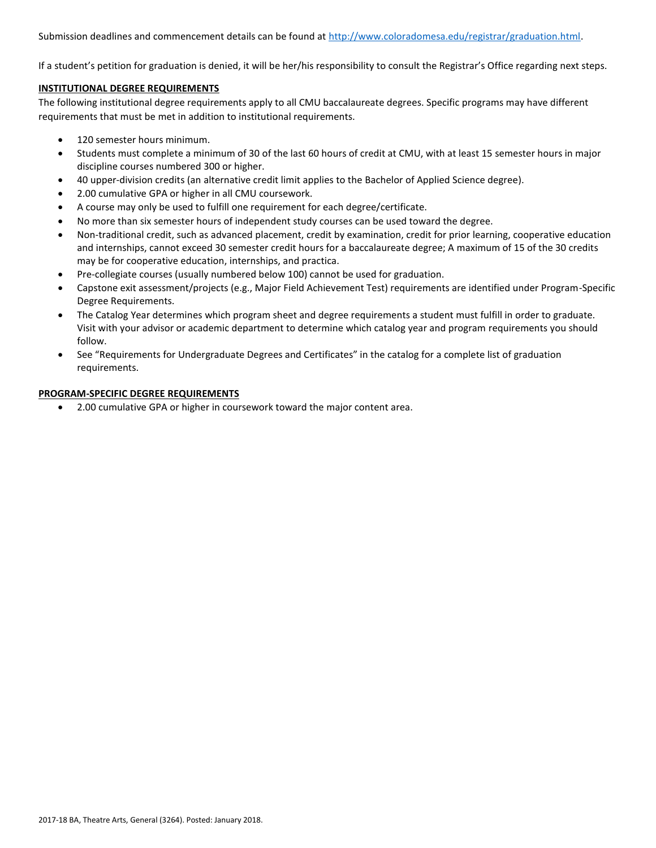Submission deadlines and commencement details can be found at [http://www.coloradomesa.edu/registrar/graduation.html.](http://www.coloradomesa.edu/registrar/graduation.html)

If a student's petition for graduation is denied, it will be her/his responsibility to consult the Registrar's Office regarding next steps.

# **INSTITUTIONAL DEGREE REQUIREMENTS**

The following institutional degree requirements apply to all CMU baccalaureate degrees. Specific programs may have different requirements that must be met in addition to institutional requirements.

- 120 semester hours minimum.
- Students must complete a minimum of 30 of the last 60 hours of credit at CMU, with at least 15 semester hours in major discipline courses numbered 300 or higher.
- 40 upper-division credits (an alternative credit limit applies to the Bachelor of Applied Science degree).
- 2.00 cumulative GPA or higher in all CMU coursework.
- A course may only be used to fulfill one requirement for each degree/certificate.
- No more than six semester hours of independent study courses can be used toward the degree.
- Non-traditional credit, such as advanced placement, credit by examination, credit for prior learning, cooperative education and internships, cannot exceed 30 semester credit hours for a baccalaureate degree; A maximum of 15 of the 30 credits may be for cooperative education, internships, and practica.
- Pre-collegiate courses (usually numbered below 100) cannot be used for graduation.
- Capstone exit assessment/projects (e.g., Major Field Achievement Test) requirements are identified under Program-Specific Degree Requirements.
- The Catalog Year determines which program sheet and degree requirements a student must fulfill in order to graduate. Visit with your advisor or academic department to determine which catalog year and program requirements you should follow.
- See "Requirements for Undergraduate Degrees and Certificates" in the catalog for a complete list of graduation requirements.

### **PROGRAM-SPECIFIC DEGREE REQUIREMENTS**

2.00 cumulative GPA or higher in coursework toward the major content area.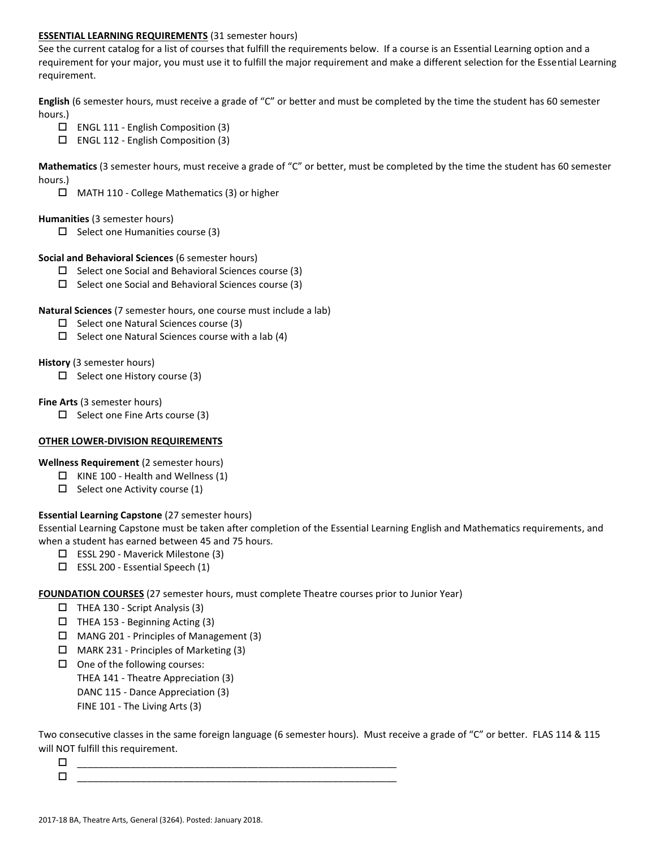# **ESSENTIAL LEARNING REQUIREMENTS** (31 semester hours)

See the current catalog for a list of courses that fulfill the requirements below. If a course is an Essential Learning option and a requirement for your major, you must use it to fulfill the major requirement and make a different selection for the Essential Learning requirement.

**English** (6 semester hours, must receive a grade of "C" or better and must be completed by the time the student has 60 semester hours.)

- ENGL 111 English Composition (3)
- ENGL 112 English Composition (3)

**Mathematics** (3 semester hours, must receive a grade of "C" or better, must be completed by the time the student has 60 semester hours.)

MATH 110 - College Mathematics (3) or higher

### **Humanities** (3 semester hours)

 $\Box$  Select one Humanities course (3)

### **Social and Behavioral Sciences** (6 semester hours)

- $\Box$  Select one Social and Behavioral Sciences course (3)
- $\square$  Select one Social and Behavioral Sciences course (3)

# **Natural Sciences** (7 semester hours, one course must include a lab)

- $\square$  Select one Natural Sciences course (3)
- $\Box$  Select one Natural Sciences course with a lab (4)

# **History** (3 semester hours)

 $\Box$  Select one History course (3)

# **Fine Arts** (3 semester hours)

 $\Box$  Select one Fine Arts course (3)

# **OTHER LOWER-DIVISION REQUIREMENTS**

**Wellness Requirement** (2 semester hours)

- $\Box$  KINE 100 Health and Wellness (1)
- $\Box$  Select one Activity course (1)

# **Essential Learning Capstone** (27 semester hours)

Essential Learning Capstone must be taken after completion of the Essential Learning English and Mathematics requirements, and when a student has earned between 45 and 75 hours.

- ESSL 290 Maverick Milestone (3)
- $\square$  ESSL 200 Essential Speech (1)

**FOUNDATION COURSES** (27 semester hours, must complete Theatre courses prior to Junior Year)

- $\Box$  THEA 130 Script Analysis (3)
- $\Box$  THEA 153 Beginning Acting (3)
- MANG 201 Principles of Management (3)
- $\Box$  MARK 231 Principles of Marketing (3)
- $\Box$  One of the following courses:

THEA 141 - Theatre Appreciation (3)

DANC 115 - Dance Appreciation (3)

FINE 101 - The Living Arts (3)

Two consecutive classes in the same foreign language (6 semester hours). Must receive a grade of "C" or better. FLAS 114 & 115 will NOT fulfill this requirement.

| ______ | -- |          |  |
|--------|----|----------|--|
|        | __ | ________ |  |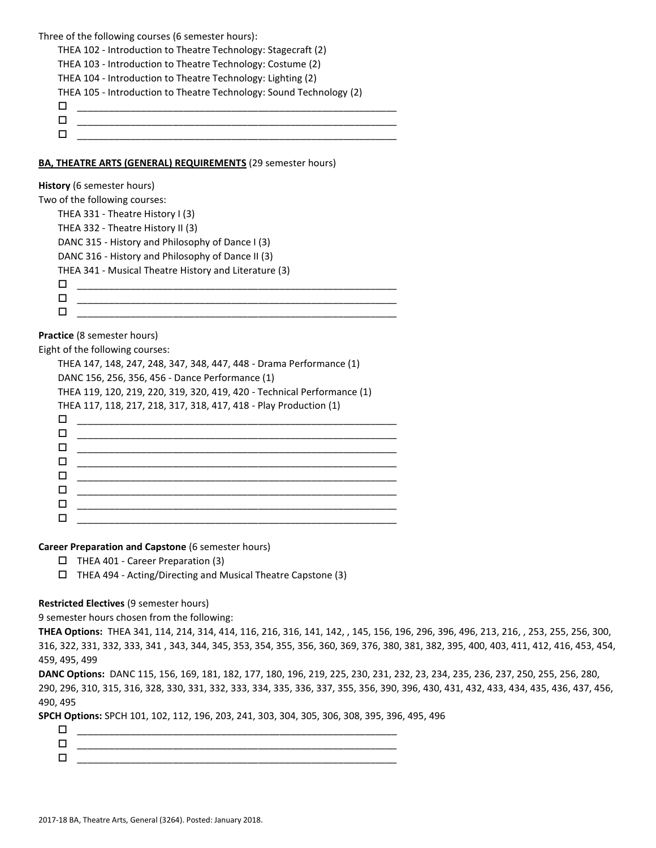Three of the following courses (6 semester hours):

| THEA 102 - Introduction to Theatre Technology: Stagecraft (2)       |
|---------------------------------------------------------------------|
| THEA 103 - Introduction to Theatre Technology: Costume (2)          |
| THEA 104 - Introduction to Theatre Technology: Lighting (2)         |
| THEA 105 - Introduction to Theatre Technology: Sound Technology (2) |
|                                                                     |
|                                                                     |
|                                                                     |

**BA, THEATRE ARTS (GENERAL) REQUIREMENTS** (29 semester hours)

| <b>History</b> (6 semester hours)                     |  |
|-------------------------------------------------------|--|
| Two of the following courses:                         |  |
| THEA 331 - Theatre History I (3)                      |  |
| THEA 332 - Theatre History II (3)                     |  |
| DANC 315 - History and Philosophy of Dance I (3)      |  |
| DANC 316 - History and Philosophy of Dance II (3)     |  |
| THEA 341 - Musical Theatre History and Literature (3) |  |
| П                                                     |  |
|                                                       |  |
|                                                       |  |
|                                                       |  |

**Practice** (8 semester hours)

Eight of the following courses:

| THEA 147, 148, 247, 248, 347, 348, 447, 448 - Drama Performance (1)     |  |  |  |  |
|-------------------------------------------------------------------------|--|--|--|--|
| DANC 156, 256, 356, 456 - Dance Performance (1)                         |  |  |  |  |
| THEA 119, 120, 219, 220, 319, 320, 419, 420 - Technical Performance (1) |  |  |  |  |
| THEA 117, 118, 217, 218, 317, 318, 417, 418 - Play Production (1)       |  |  |  |  |
| □                                                                       |  |  |  |  |
| □                                                                       |  |  |  |  |
| □                                                                       |  |  |  |  |
| □                                                                       |  |  |  |  |
| □                                                                       |  |  |  |  |
| □                                                                       |  |  |  |  |
| □                                                                       |  |  |  |  |
|                                                                         |  |  |  |  |

# **Career Preparation and Capstone** (6 semester hours)

- $\Box$  THEA 401 Career Preparation (3)
- THEA 494 Acting/Directing and Musical Theatre Capstone (3)

# **Restricted Electives** (9 semester hours)

9 semester hours chosen from the following:

**THEA Options:** THEA 341, 114, 214, 314, 414, 116, 216, 316, 141, 142, , 145, 156, 196, 296, 396, 496, 213, 216, , 253, 255, 256, 300, 316, 322, 331, 332, 333, 341 , 343, 344, 345, 353, 354, 355, 356, 360, 369, 376, 380, 381, 382, 395, 400, 403, 411, 412, 416, 453, 454, 459, 495, 499

**DANC Options:** DANC 115, 156, 169, 181, 182, 177, 180, 196, 219, 225, 230, 231, 232, 23, 234, 235, 236, 237, 250, 255, 256, 280,

290, 296, 310, 315, 316, 328, 330, 331, 332, 333, 334, 335, 336, 337, 355, 356, 390, 396, 430, 431, 432, 433, 434, 435, 436, 437, 456, 490, 495

**SPCH Options:** SPCH 101, 102, 112, 196, 203, 241, 303, 304, 305, 306, 308, 395, 396, 495, 496

|        | _______ |
|--------|---------|
| $\Box$ |         |
| $\Box$ |         |
|        |         |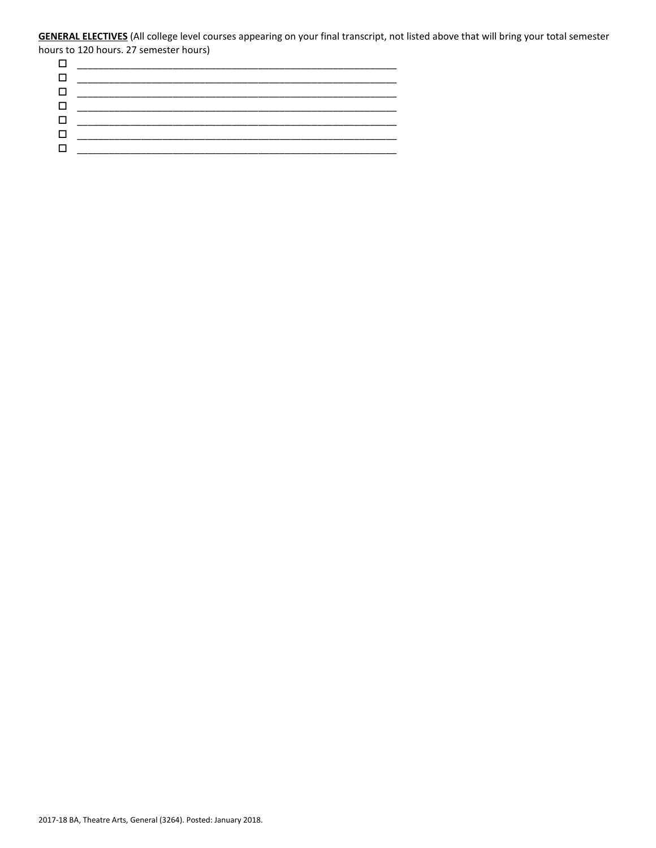**GENERAL ELECTIVES** (All college level courses appearing on your final transcript, not listed above that will bring your total semester hours to 120 hours. 27 semester hours)<br> $\Box$